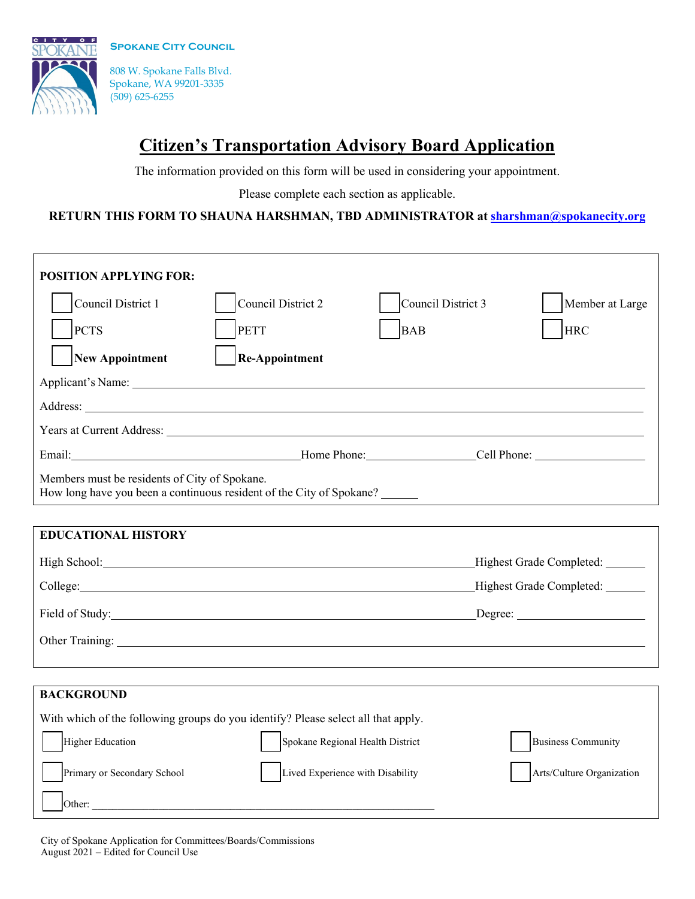**SPOKANE CITY COUNCIL** 



808 W. Spokane Falls Blvd. Spokane, WA 99201-3335 (509) 625-6255

## **Citizen's Transportation Advisory Board Application**

The information provided on this form will be used in considering your appointment.

Please complete each section as applicable.

## **RETURN THIS FORM TO SHAUNA HARSHMAN, TBD ADMINISTRATOR at [sharshman@spokanecity.org](mailto:sharshman@spokanecity.org)**

| <b>POSITION APPLYING FOR:</b>                                                                                                                                                                                                       |                                                                     |                    |                                 |
|-------------------------------------------------------------------------------------------------------------------------------------------------------------------------------------------------------------------------------------|---------------------------------------------------------------------|--------------------|---------------------------------|
| Council District 1                                                                                                                                                                                                                  | Council District 2                                                  | Council District 3 | Member at Large                 |
| <b>PCTS</b>                                                                                                                                                                                                                         | PETT                                                                | <b>BAB</b>         | <b>HRC</b>                      |
| <b>New Appointment</b>                                                                                                                                                                                                              | <b>Re-Appointment</b>                                               |                    |                                 |
| Applicant's Name: 1988. Applicant of Name: 1988. Applicant of Name: 1988. Applicant of Name: 1988. Applicant of Name: 1988. Applicant of Name: 1988. Applicant of Name: 1988. Applicant of Name: 1988. Applicant of Name: 1988      |                                                                     |                    |                                 |
|                                                                                                                                                                                                                                     |                                                                     |                    |                                 |
| Years at Current Address: Law March 2014                                                                                                                                                                                            |                                                                     |                    |                                 |
|                                                                                                                                                                                                                                     | Email: Cell Phone: Cell Phone: Cell Phone:                          |                    |                                 |
| Members must be residents of City of Spokane.<br>How long have you been a continuous resident of the City of Spokane?                                                                                                               |                                                                     |                    |                                 |
|                                                                                                                                                                                                                                     |                                                                     |                    |                                 |
| <b>EDUCATIONAL HISTORY</b>                                                                                                                                                                                                          |                                                                     |                    |                                 |
| High School: <u>Night School:</u> Night School: Night School: Night School: Night School: Night School: Night School: Night School: Night School: Night School: Night School: Night School: Night School: Night School: Night Schoo |                                                                     |                    | Highest Grade Completed: ______ |
| College: 2008 College: 2008 College: 2008 College: 2008 College: 2008 College: 2008 College: 2008 College: 2008 College: 2008 College: 2008 College: 2008 College: 2008 College: 2008 College: 2008 College: 2008 College: 200      |                                                                     |                    | Highest Grade Completed: ______ |
|                                                                                                                                                                                                                                     | Field of Study: Notice that the state of Study:<br>$\text{Degree:}$ |                    |                                 |
| Other Training: North Communication of the Communication of the Communication of the Communication of the Communication of the Communication of the Communication of the Communication of the Communication of the Communicati      |                                                                     |                    |                                 |
|                                                                                                                                                                                                                                     |                                                                     |                    |                                 |
| <b>BACKGROUND</b>                                                                                                                                                                                                                   |                                                                     |                    |                                 |
| With which of the following groups do you identify? Please select all that apply.                                                                                                                                                   |                                                                     |                    |                                 |
| Higher Education                                                                                                                                                                                                                    | Spokane Regional Health District                                    |                    | <b>Business Community</b>       |
| Primary or Secondary School                                                                                                                                                                                                         | Lived Experience with Disability                                    |                    | Arts/Culture Organization       |
| Other:                                                                                                                                                                                                                              |                                                                     |                    |                                 |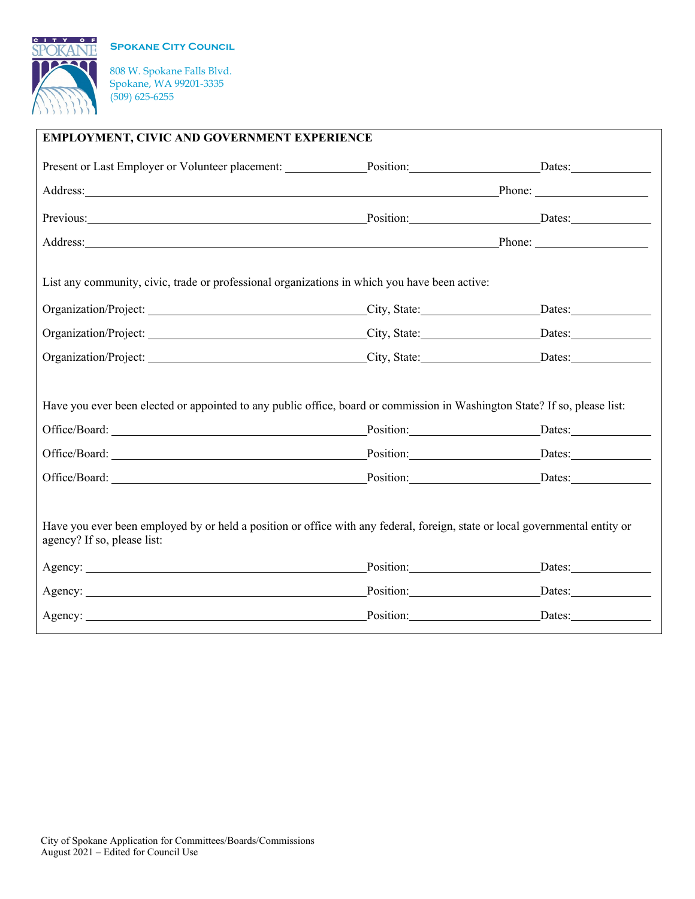**SPOKANE CITY COUNCIL** 



808 W. Spokane Falls Blvd. Spokane, WA 99201-3335 (509) 625-6255

| EMPLOYMENT, CIVIC AND GOVERNMENT EXPERIENCE                                                                                                                                                                                                                                                                                                                                                        |                                                                                                                                                                                                                                |  |  |  |
|----------------------------------------------------------------------------------------------------------------------------------------------------------------------------------------------------------------------------------------------------------------------------------------------------------------------------------------------------------------------------------------------------|--------------------------------------------------------------------------------------------------------------------------------------------------------------------------------------------------------------------------------|--|--|--|
| Present or Last Employer or Volunteer placement: Position: Position: Dates: Dates:                                                                                                                                                                                                                                                                                                                 |                                                                                                                                                                                                                                |  |  |  |
|                                                                                                                                                                                                                                                                                                                                                                                                    | Address: Phone: Phone: Phone: Phone: Phone: Phone: Phone: Phone: Phone: Phone: Phone: Phone: Phone: Phone: Phone: Phone: Phone: Phone: Phone: Phone: Phone: Phone: Phone: Phone: Phone: Phone: Phone: Phone: Phone: Phone: Pho |  |  |  |
| Previous: Dates: Dates: Dates: Dates: Dates: Dates: Dates: Dates: Dates: Dates: Dates: Dates: Dates: Dates: Dates: Dates: Dates: Dates: Dates: Dates: Dates: Dates: Dates: Dates: Dates: Dates: Dates: Dates: Dates: Dates: Da                                                                                                                                                                     |                                                                                                                                                                                                                                |  |  |  |
| Address: Phone: Phone: Phone: Phone: Phone: Phone: Phone: Phone: Phone: Phone: Phone: Phone: Phone: Phone: Phone: Phone: Phone: Phone: Phone: Phone: Phone: Phone: Phone: Phone: Phone: Phone: Phone: Phone: Phone: Phone: Pho                                                                                                                                                                     |                                                                                                                                                                                                                                |  |  |  |
| List any community, civic, trade or professional organizations in which you have been active:                                                                                                                                                                                                                                                                                                      |                                                                                                                                                                                                                                |  |  |  |
|                                                                                                                                                                                                                                                                                                                                                                                                    |                                                                                                                                                                                                                                |  |  |  |
|                                                                                                                                                                                                                                                                                                                                                                                                    |                                                                                                                                                                                                                                |  |  |  |
|                                                                                                                                                                                                                                                                                                                                                                                                    |                                                                                                                                                                                                                                |  |  |  |
| Have you ever been elected or appointed to any public office, board or commission in Washington State? If so, please list:<br>Office/Board: Dates: Dates: Dates: Dates: Dates: Dates: Dates: Dates: Dates: Dates: Dates: Dates: Dates: Dates: Dates: Dates: Dates: Dates: Dates: Dates: Dates: Dates: Dates: Dates: Dates: Dates: Dates: Dates: Dates: Dates<br>Office/Board: Dates: Dates: Dates: |                                                                                                                                                                                                                                |  |  |  |
| Office/Board: Dates: Dates: Dates:                                                                                                                                                                                                                                                                                                                                                                 |                                                                                                                                                                                                                                |  |  |  |
| Have you ever been employed by or held a position or office with any federal, foreign, state or local governmental entity or<br>agency? If so, please list:<br>Agency: Dates: Dates: Dates:<br>Agency: Dates: Dates: Dates:                                                                                                                                                                        |                                                                                                                                                                                                                                |  |  |  |
| Agency: Dates: Dates: Dates:                                                                                                                                                                                                                                                                                                                                                                       |                                                                                                                                                                                                                                |  |  |  |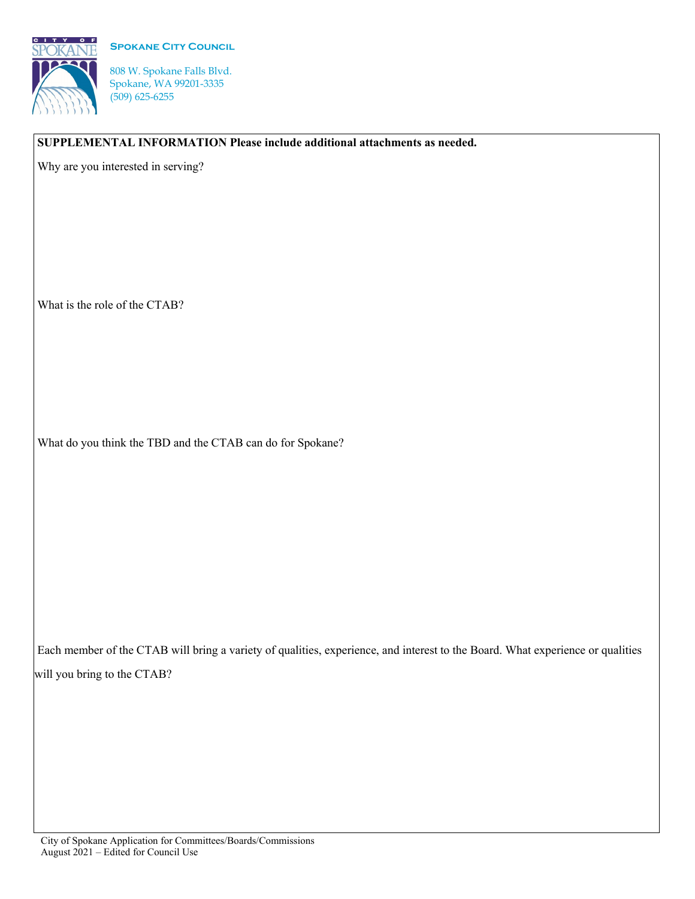



808 W. Spokane Falls Blvd. Spokane, WA 99201-3335 (509) 625-6255

**SUPPLEMENTAL INFORMATION Please include additional attachments as needed.**

Why are you interested in serving?

What is the role of the CTAB?

What do you think the TBD and the CTAB can do for Spokane?

Each member of the CTAB will bring a variety of qualities, experience, and interest to the Board. What experience or qualities will you bring to the CTAB?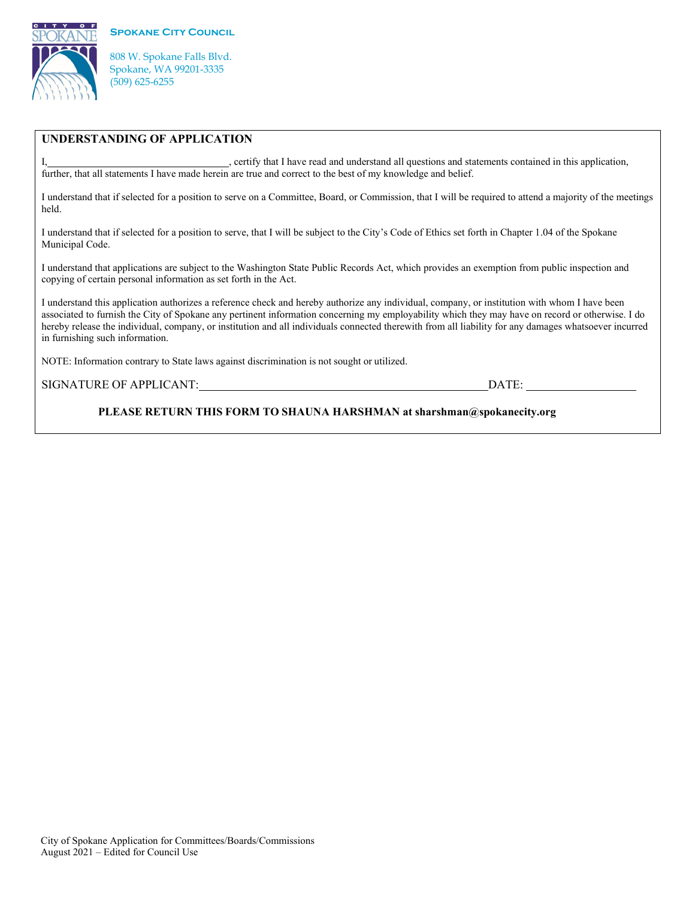

 $C + T$ 



## **UNDERSTANDING OF APPLICATION**

I, , certify that I have read and understand all questions and statements contained in this application, further, that all statements I have made herein are true and correct to the best of my knowledge and belief.

I understand that if selected for a position to serve on a Committee, Board, or Commission, that I will be required to attend a majority of the meetings held.

I understand that if selected for a position to serve, that I will be subject to the City's Code of Ethics set forth in Chapter 1.04 of the Spokane Municipal Code.

I understand that applications are subject to the Washington State Public Records Act, which provides an exemption from public inspection and copying of certain personal information as set forth in the Act.

I understand this application authorizes a reference check and hereby authorize any individual, company, or institution with whom I have been associated to furnish the City of Spokane any pertinent information concerning my employability which they may have on record or otherwise. I do hereby release the individual, company, or institution and all individuals connected therewith from all liability for any damages whatsoever incurred in furnishing such information.

NOTE: Information contrary to State laws against discrimination is not sought or utilized.

SIGNATURE OF APPLICANT: DATE:

**PLEASE RETURN THIS FORM TO SHAUNA HARSHMAN at sharshman@spokanecity.org**